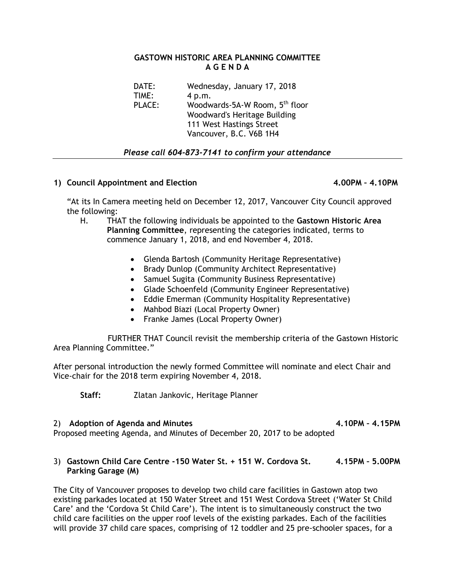### **GASTOWN HISTORIC AREA PLANNING COMMITTEE A G E N D A**

DATE: Wednesday, January 17, 2018 TIME: 4 p.m. PLACE: Woodwards-5A-W Room, 5<sup>th</sup> floor Woodward's Heritage Building 111 West Hastings Street Vancouver, B.C. V6B 1H4

## *Please call 604-873-7141 to confirm your attendance*

# **1) Council Appointment and Election 4.00PM – 4.10PM**

"At its In Camera meeting held on December 12, 2017, Vancouver City Council approved the following:

- H. THAT the following individuals be appointed to the **Gastown Historic Area Planning Committee**, representing the categories indicated, terms to commence January 1, 2018, and end November 4, 2018.
	- Glenda Bartosh (Community Heritage Representative)
	- Brady Dunlop (Community Architect Representative)
	- Samuel Sugita (Community Business Representative)
	- Glade Schoenfeld (Community Engineer Representative)
	- Eddie Emerman (Community Hospitality Representative)
	- Mahbod Biazi (Local Property Owner)
	- Franke James (Local Property Owner)

 FURTHER THAT Council revisit the membership criteria of the Gastown Historic Area Planning Committee."

After personal introduction the newly formed Committee will nominate and elect Chair and Vice-chair for the 2018 term expiring November 4, 2018.

**Staff:** Zlatan Jankovic, Heritage Planner

## 2) **Adoption of Agenda and Minutes 4.10PM – 4.15PM**

Proposed meeting Agenda, and Minutes of December 20, 2017 to be adopted

## 3) **Gastown Child Care Centre -150 Water St. + 151 W. Cordova St. 4.15PM – 5.00PM Parking Garage (M)**

The City of Vancouver proposes to develop two child care facilities in Gastown atop two existing parkades located at 150 Water Street and 151 West Cordova Street ('Water St Child Care' and the 'Cordova St Child Care'). The intent is to simultaneously construct the two child care facilities on the upper roof levels of the existing parkades. Each of the facilities will provide 37 child care spaces, comprising of 12 toddler and 25 pre-schooler spaces, for a